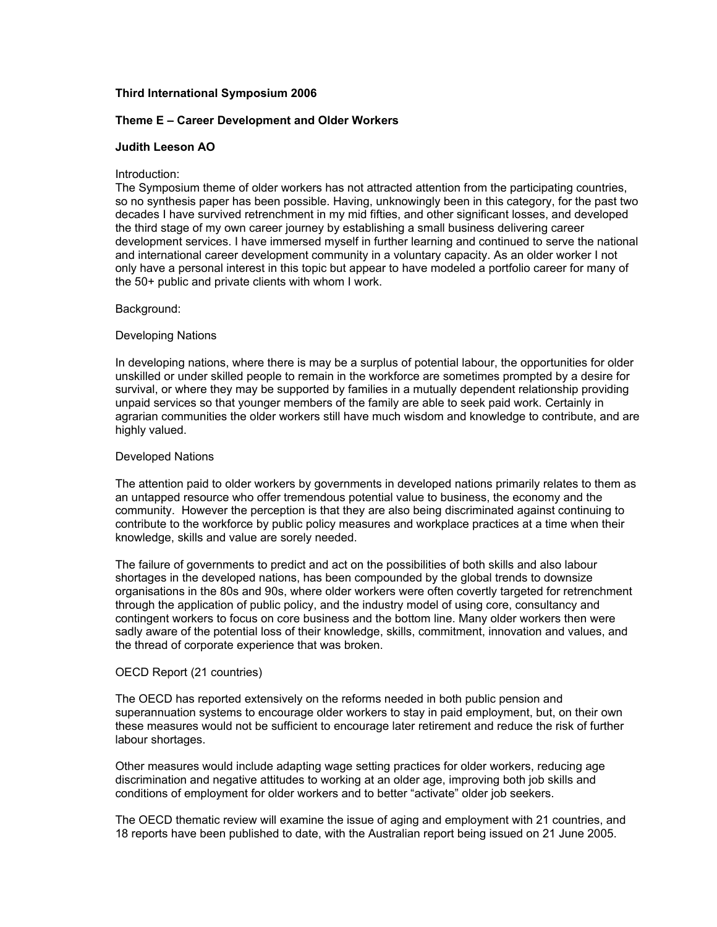# **Third International Symposium 2006**

### **Theme E – Career Development and Older Workers**

### **Judith Leeson AO**

#### Introduction:

The Symposium theme of older workers has not attracted attention from the participating countries, so no synthesis paper has been possible. Having, unknowingly been in this category, for the past two decades I have survived retrenchment in my mid fifties, and other significant losses, and developed the third stage of my own career journey by establishing a small business delivering career development services. I have immersed myself in further learning and continued to serve the national and international career development community in a voluntary capacity. As an older worker I not only have a personal interest in this topic but appear to have modeled a portfolio career for many of the 50+ public and private clients with whom I work.

## Background:

## Developing Nations

In developing nations, where there is may be a surplus of potential labour, the opportunities for older unskilled or under skilled people to remain in the workforce are sometimes prompted by a desire for survival, or where they may be supported by families in a mutually dependent relationship providing unpaid services so that younger members of the family are able to seek paid work. Certainly in agrarian communities the older workers still have much wisdom and knowledge to contribute, and are highly valued.

## Developed Nations

The attention paid to older workers by governments in developed nations primarily relates to them as an untapped resource who offer tremendous potential value to business, the economy and the community. However the perception is that they are also being discriminated against continuing to contribute to the workforce by public policy measures and workplace practices at a time when their knowledge, skills and value are sorely needed.

The failure of governments to predict and act on the possibilities of both skills and also labour shortages in the developed nations, has been compounded by the global trends to downsize organisations in the 80s and 90s, where older workers were often covertly targeted for retrenchment through the application of public policy, and the industry model of using core, consultancy and contingent workers to focus on core business and the bottom line. Many older workers then were sadly aware of the potential loss of their knowledge, skills, commitment, innovation and values, and the thread of corporate experience that was broken.

#### OECD Report (21 countries)

The OECD has reported extensively on the reforms needed in both public pension and superannuation systems to encourage older workers to stay in paid employment, but, on their own these measures would not be sufficient to encourage later retirement and reduce the risk of further labour shortages.

Other measures would include adapting wage setting practices for older workers, reducing age discrimination and negative attitudes to working at an older age, improving both job skills and conditions of employment for older workers and to better "activate" older job seekers.

The OECD thematic review will examine the issue of aging and employment with 21 countries, and 18 reports have been published to date, with the Australian report being issued on 21 June 2005.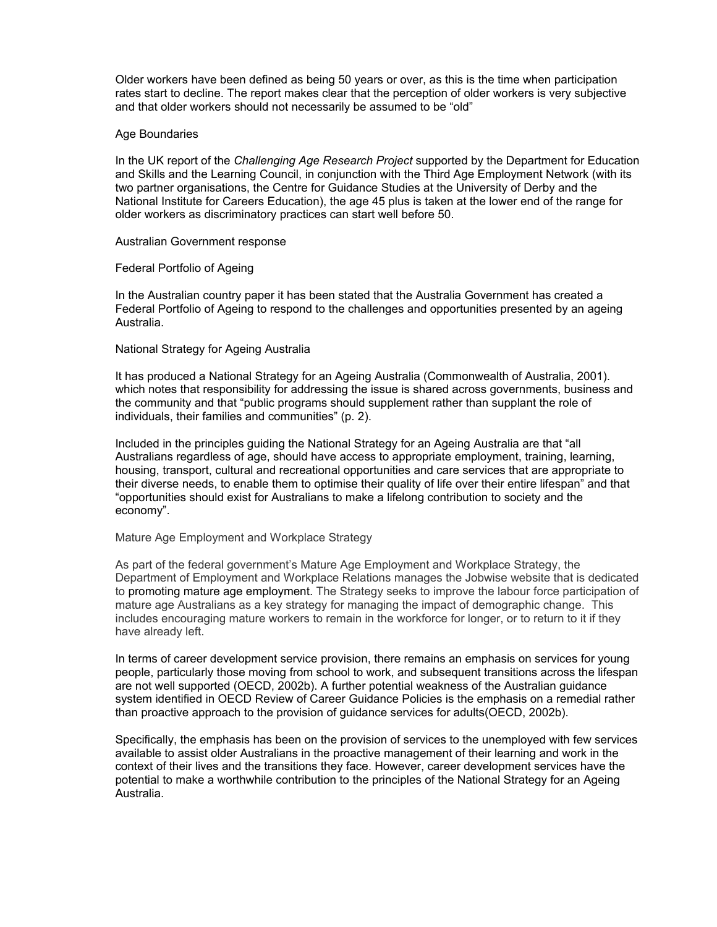Older workers have been defined as being 50 years or over, as this is the time when participation rates start to decline. The report makes clear that the perception of older workers is very subjective and that older workers should not necessarily be assumed to be "old"

### Age Boundaries

In the UK report of the *Challenging Age Research Project* supported by the Department for Education and Skills and the Learning Council, in conjunction with the Third Age Employment Network (with its two partner organisations, the Centre for Guidance Studies at the University of Derby and the National Institute for Careers Education), the age 45 plus is taken at the lower end of the range for older workers as discriminatory practices can start well before 50.

## Australian Government response

## Federal Portfolio of Ageing

In the Australian country paper it has been stated that the Australia Government has created a Federal Portfolio of Ageing to respond to the challenges and opportunities presented by an ageing Australia.

## National Strategy for Ageing Australia

It has produced a National Strategy for an Ageing Australia (Commonwealth of Australia, 2001). which notes that responsibility for addressing the issue is shared across governments, business and the community and that "public programs should supplement rather than supplant the role of individuals, their families and communities" (p. 2).

Included in the principles guiding the National Strategy for an Ageing Australia are that "all Australians regardless of age, should have access to appropriate employment, training, learning, housing, transport, cultural and recreational opportunities and care services that are appropriate to their diverse needs, to enable them to optimise their quality of life over their entire lifespan" and that "opportunities should exist for Australians to make a lifelong contribution to society and the economy".

#### Mature Age Employment and Workplace Strategy

As part of the federal government's Mature Age Employment and Workplace Strategy, the Department of Employment and Workplace Relations manages the Jobwise website that is dedicated to promoting mature age employment. The Strategy seeks to improve the labour force participation of mature age Australians as a key strategy for managing the impact of demographic change. This includes encouraging mature workers to remain in the workforce for longer, or to return to it if they have already left.

In terms of career development service provision, there remains an emphasis on services for young people, particularly those moving from school to work, and subsequent transitions across the lifespan are not well supported (OECD, 2002b). A further potential weakness of the Australian guidance system identified in OECD Review of Career Guidance Policies is the emphasis on a remedial rather than proactive approach to the provision of guidance services for adults(OECD, 2002b).

Specifically, the emphasis has been on the provision of services to the unemployed with few services available to assist older Australians in the proactive management of their learning and work in the context of their lives and the transitions they face. However, career development services have the potential to make a worthwhile contribution to the principles of the National Strategy for an Ageing Australia.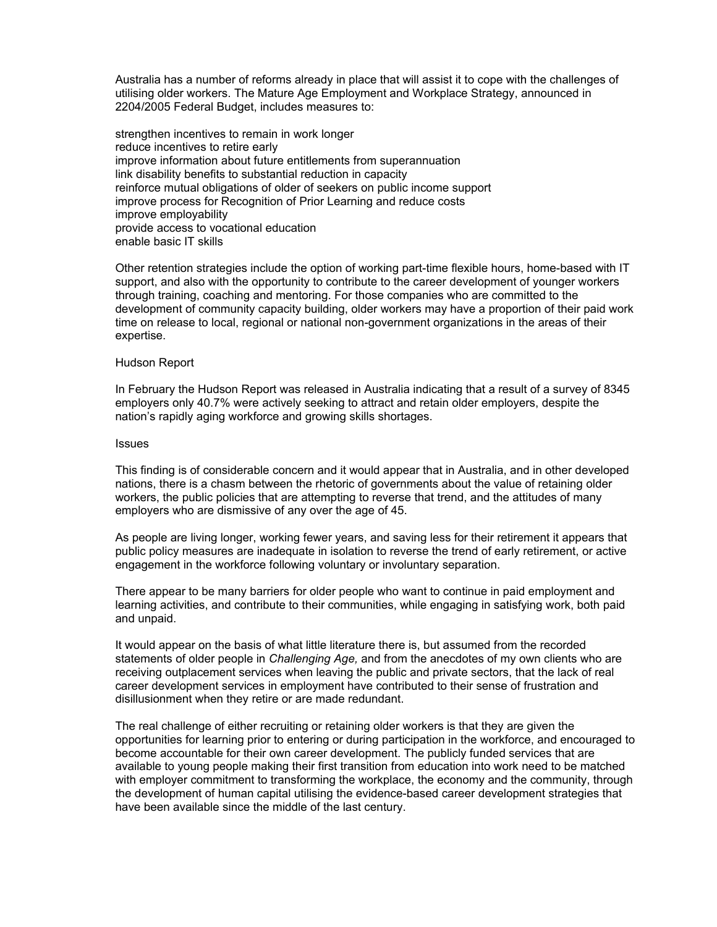Australia has a number of reforms already in place that will assist it to cope with the challenges of utilising older workers. The Mature Age Employment and Workplace Strategy, announced in 2204/2005 Federal Budget, includes measures to:

strengthen incentives to remain in work longer reduce incentives to retire early improve information about future entitlements from superannuation link disability benefits to substantial reduction in capacity reinforce mutual obligations of older of seekers on public income support improve process for Recognition of Prior Learning and reduce costs improve employability provide access to vocational education enable basic IT skills

Other retention strategies include the option of working part-time flexible hours, home-based with IT support, and also with the opportunity to contribute to the career development of younger workers through training, coaching and mentoring. For those companies who are committed to the development of community capacity building, older workers may have a proportion of their paid work time on release to local, regional or national non-government organizations in the areas of their expertise.

### Hudson Report

In February the Hudson Report was released in Australia indicating that a result of a survey of 8345 employers only 40.7% were actively seeking to attract and retain older employers, despite the nation's rapidly aging workforce and growing skills shortages.

#### Issues

This finding is of considerable concern and it would appear that in Australia, and in other developed nations, there is a chasm between the rhetoric of governments about the value of retaining older workers, the public policies that are attempting to reverse that trend, and the attitudes of many employers who are dismissive of any over the age of 45.

As people are living longer, working fewer years, and saving less for their retirement it appears that public policy measures are inadequate in isolation to reverse the trend of early retirement, or active engagement in the workforce following voluntary or involuntary separation.

There appear to be many barriers for older people who want to continue in paid employment and learning activities, and contribute to their communities, while engaging in satisfying work, both paid and unpaid.

It would appear on the basis of what little literature there is, but assumed from the recorded statements of older people in *Challenging Age,* and from the anecdotes of my own clients who are receiving outplacement services when leaving the public and private sectors, that the lack of real career development services in employment have contributed to their sense of frustration and disillusionment when they retire or are made redundant.

The real challenge of either recruiting or retaining older workers is that they are given the opportunities for learning prior to entering or during participation in the workforce, and encouraged to become accountable for their own career development. The publicly funded services that are available to young people making their first transition from education into work need to be matched with employer commitment to transforming the workplace, the economy and the community, through the development of human capital utilising the evidence-based career development strategies that have been available since the middle of the last century.